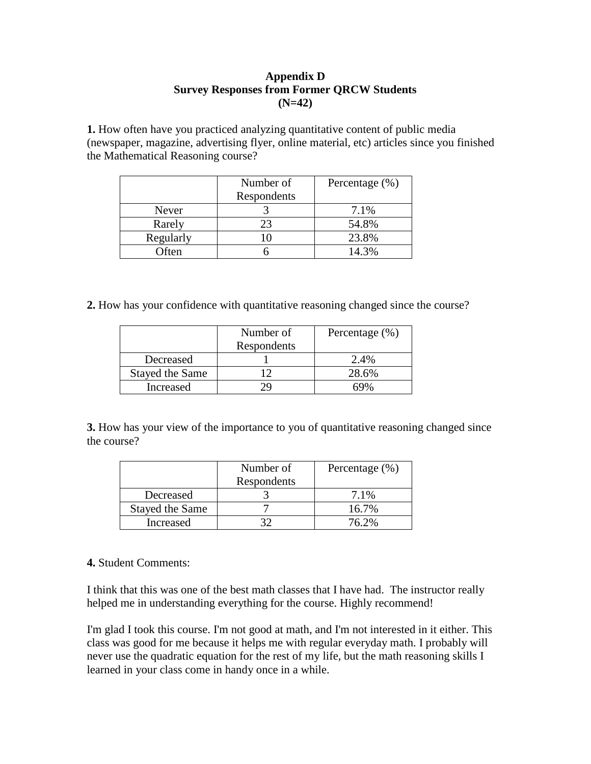## **Appendix D Survey Responses from Former QRCW Students (N=42)**

**1.** How often have you practiced analyzing quantitative content of public media (newspaper, magazine, advertising flyer, online material, etc) articles since you finished the Mathematical Reasoning course?

|           | Number of<br>Respondents | Percentage $(\% )$ |
|-----------|--------------------------|--------------------|
| Never     |                          | 7.1%               |
| Rarely    | 23                       | 54.8%              |
| Regularly |                          | 23.8%              |
| Often     |                          | 14.3%              |

**2.** How has your confidence with quantitative reasoning changed since the course?

|                        | Number of   | Percentage $(\% )$ |
|------------------------|-------------|--------------------|
|                        | Respondents |                    |
| Decreased              |             | 2.4%               |
| <b>Stayed the Same</b> |             | 28.6%              |
| Increased              |             |                    |

**3.** How has your view of the importance to you of quantitative reasoning changed since the course?

|                 | Number of   | Percentage $(\% )$ |
|-----------------|-------------|--------------------|
|                 | Respondents |                    |
| Decreased       |             | 7.1%               |
| Stayed the Same |             | 16.7%              |
| Increased       |             | 76.2%              |

## **4.** Student Comments:

I think that this was one of the best math classes that I have had. The instructor really helped me in understanding everything for the course. Highly recommend!

I'm glad I took this course. I'm not good at math, and I'm not interested in it either. This class was good for me because it helps me with regular everyday math. I probably will never use the quadratic equation for the rest of my life, but the math reasoning skills I learned in your class come in handy once in a while.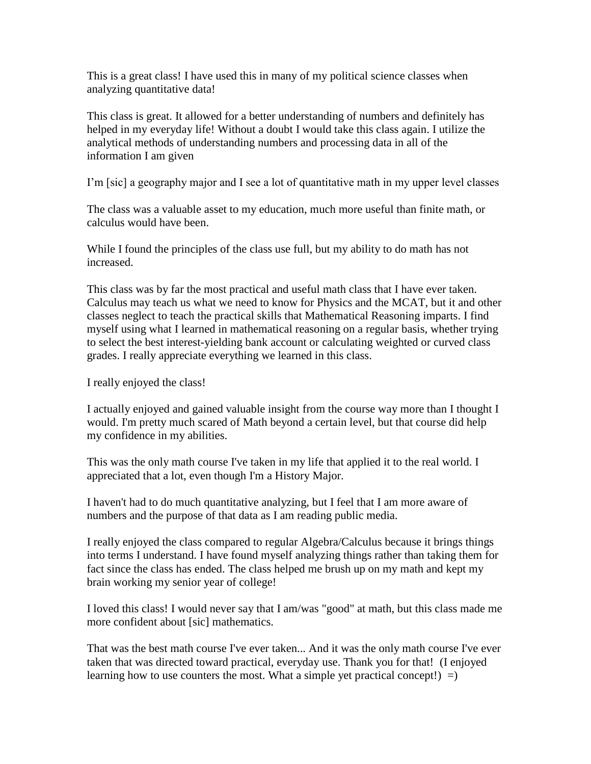This is a great class! I have used this in many of my political science classes when analyzing quantitative data!

This class is great. It allowed for a better understanding of numbers and definitely has helped in my everyday life! Without a doubt I would take this class again. I utilize the analytical methods of understanding numbers and processing data in all of the information I am given

I'm [sic] a geography major and I see a lot of quantitative math in my upper level classes

The class was a valuable asset to my education, much more useful than finite math, or calculus would have been.

While I found the principles of the class use full, but my ability to do math has not increased.

This class was by far the most practical and useful math class that I have ever taken. Calculus may teach us what we need to know for Physics and the MCAT, but it and other classes neglect to teach the practical skills that Mathematical Reasoning imparts. I find myself using what I learned in mathematical reasoning on a regular basis, whether trying to select the best interest-yielding bank account or calculating weighted or curved class grades. I really appreciate everything we learned in this class.

I really enjoyed the class!

I actually enjoyed and gained valuable insight from the course way more than I thought I would. I'm pretty much scared of Math beyond a certain level, but that course did help my confidence in my abilities.

This was the only math course I've taken in my life that applied it to the real world. I appreciated that a lot, even though I'm a History Major.

I haven't had to do much quantitative analyzing, but I feel that I am more aware of numbers and the purpose of that data as I am reading public media.

I really enjoyed the class compared to regular Algebra/Calculus because it brings things into terms I understand. I have found myself analyzing things rather than taking them for fact since the class has ended. The class helped me brush up on my math and kept my brain working my senior year of college!

I loved this class! I would never say that I am/was "good" at math, but this class made me more confident about [sic] mathematics.

That was the best math course I've ever taken... And it was the only math course I've ever taken that was directed toward practical, everyday use. Thank you for that! (I enjoyed learning how to use counters the most. What a simple yet practical concept! $) =$